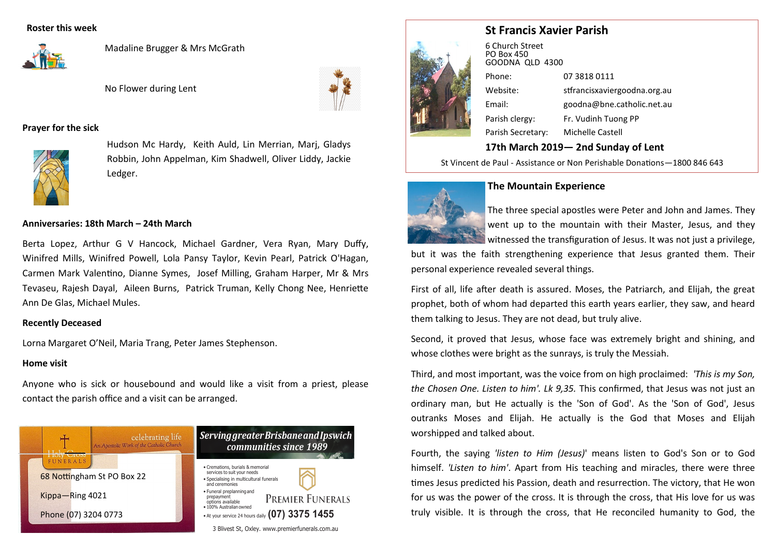## **Roster this week**



Madaline Brugger & Mrs McGrath

No Flower during Lent



# **Prayer for the sick**



Hudson Mc Hardy, Keith Auld, Lin Merrian, Marj, Gladys Robbin, John Appelman, Kim Shadwell, Oliver Liddy, Jackie Ledger.

#### **Anniversaries: 18th March – 24th March**

Berta Lopez, Arthur G V Hancock, Michael Gardner, Vera Ryan, Mary Duffy, Winifred Mills, Winifred Powell, Lola Pansy Taylor, Kevin Pearl, Patrick O'Hagan, Carmen Mark Valentino, Dianne Symes, Josef Milling, Graham Harper, Mr & Mrs Tevaseu, Rajesh Dayal, Aileen Burns, Patrick Truman, Kelly Chong Nee, Henriette Ann De Glas, Michael Mules.

#### **Recently Deceased**

Lorna Margaret O'Neil, Maria Trang, Peter James Stephenson.

# **Home visit**

Anyone who is sick or housebound and would like a visit from a priest, please contact the parish office and a visit can be arranged.



# **St Francis Xavier Parish**



6 Church Street PO Box 450 GOODNA QLD 4300 Phone: 07 3818 0111 Website: stfrancisxaviergoodna.org.au Email: goodna@bne.catholic.net.au Parish clergy: Fr. Vudinh Tuong PP Parish Secretary: Michelle Castell

# **17th March 2019— 2nd Sunday of Lent**

St Vincent de Paul - Assistance or Non Perishable Donations—1800 846 643



#### **The Mountain Experience**

The three special apostles were Peter and John and James. They went up to the mountain with their Master, Jesus, and they witnessed the transfiguration of Jesus. It was not just a privilege,

but it was the faith strengthening experience that Jesus granted them. Their personal experience revealed several things.

First of all, life after death is assured. Moses, the Patriarch, and Elijah, the great prophet, both of whom had departed this earth years earlier, they saw, and heard them talking to Jesus. They are not dead, but truly alive.

Second, it proved that Jesus, whose face was extremely bright and shining, and whose clothes were bright as the sunrays, is truly the Messiah.

Third, and most important, was the voice from on high proclaimed: *'This is my Son, the Chosen One. Listen to him'. Lk 9,35.* This confirmed, that Jesus was not just an ordinary man, but He actually is the 'Son of God'. As the 'Son of God', Jesus outranks Moses and Elijah. He actually is the God that Moses and Elijah worshipped and talked about.

Fourth, the saying *'listen to Him (Jesus)*' means listen to God's Son or to God himself. *'Listen to him'*. Apart from His teaching and miracles, there were three times Jesus predicted his Passion, death and resurrection. The victory, that He won for us was the power of the cross. It is through the cross, that His love for us was truly visible. It is through the cross, that He reconciled humanity to God, the